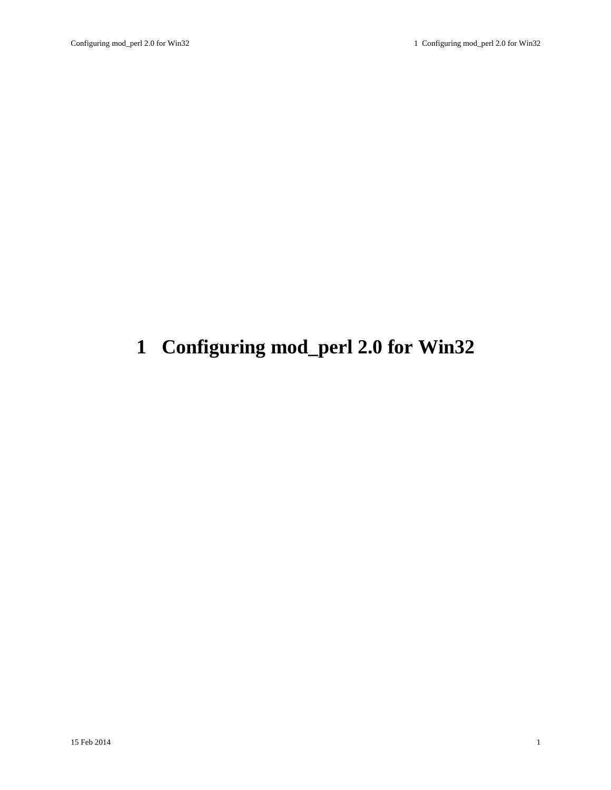# <span id="page-0-0"></span>**1 Configuring mod\_perl 2.0 for Win32**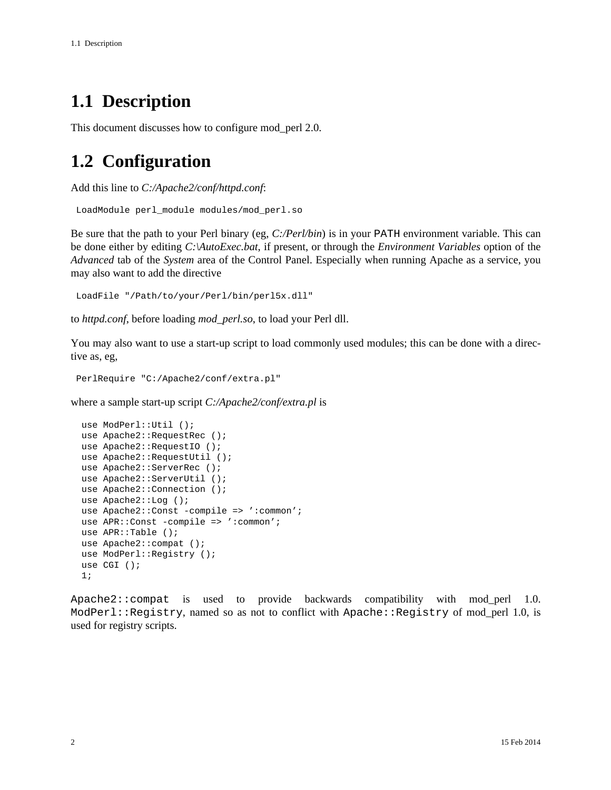### <span id="page-1-0"></span>**1.1 Description**

This document discusses how to configure mod\_perl 2.0.

### <span id="page-1-1"></span>**1.2 Configuration**

Add this line to *C:/Apache2/conf/httpd.conf*:

```
 LoadModule perl_module modules/mod_perl.so
```
Be sure that the path to your Perl binary (eg, *C:/Perl/bin*) is in your PATH environment variable. This can be done either by editing *C:\AutoExec.bat*, if present, or through the *Environment Variables* option of the *Advanced* tab of the *System* area of the Control Panel. Especially when running Apache as a service, you may also want to add the directive

```
 LoadFile "/Path/to/your/Perl/bin/perl5x.dll"
```
to *httpd.conf*, before loading *mod\_perl.so*, to load your Perl dll.

You may also want to use a start-up script to load commonly used modules; this can be done with a directive as, eg,

```
 PerlRequire "C:/Apache2/conf/extra.pl"
```
where a sample start-up script *C:/Apache2/conf/extra.pl* is

```
 use ModPerl::Util ();
use Apache2::RequestRec ();
 use Apache2::RequestIO ();
use Apache2::RequestUtil ();
use Apache2::ServerRec ();
 use Apache2::ServerUtil ();
use Apache2:: Connection ();
 use Apache2::Log ();
use Apache2::Const -compile => ':common';
use APR::Const -compile => ':common';
 use APR::Table ();
 use Apache2::compat ();
use ModPerl::Registry ();
 use CGI ();
 1;
```
Apache2::compat is used to provide backwards compatibility with mod\_perl 1.0. ModPerl::Registry, named so as not to conflict with Apache::Registry of mod\_perl 1.0, is used for registry scripts.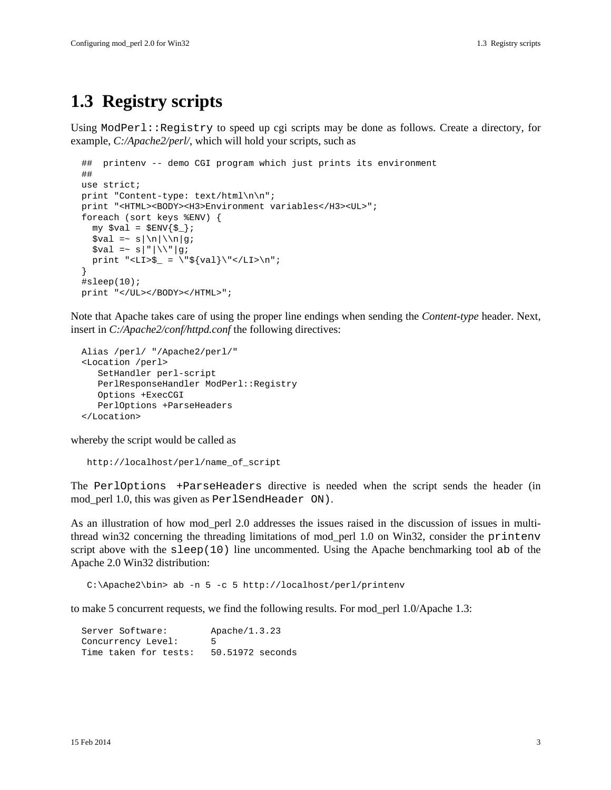#### <span id="page-2-0"></span>**1.3 Registry scripts**

Using ModPerl::Registry to speed up cgi scripts may be done as follows. Create a directory, for example, *C:/Apache2/perl/*, which will hold your scripts, such as

```
 ## printenv -- demo CGI program which just prints its environment
   ##
  use strict;
 print "Content-type: text/html\n\n";
  print "<HTML><BODY><H3>Environment variables</H3><UL>";
  foreach (sort keys %ENV) {
   my $val = $ENV{$_]\};\text{val} = \text{s} \n\ln|\n\ln|g;
   $val = ~ s \, \| \, \|\ \|\ \| g;print "<LI>$_ = \"${val}\"</LI>\n";
 }
  #sleep(10);
  print "</UL></BODY></HTML>";
```
Note that Apache takes care of using the proper line endings when sending the *Content-type* header. Next, insert in *C:/Apache2/conf/httpd.conf* the following directives:

```
 Alias /perl/ "/Apache2/perl/"
 <Location /perl>
    SetHandler perl-script
  PerlResponseHandler ModPerl::Registry
   Options +ExecCGI
   PerlOptions +ParseHeaders
 </Location>
```
whereby the script would be called as

```
 http://localhost/perl/name_of_script
```
The PerlOptions +ParseHeaders directive is needed when the script sends the header (in mod\_perl 1.0, this was given as PerlSendHeader ON).

As an illustration of how mod\_perl 2.0 addresses the issues raised in the discussion of issues in multithread win32 concerning the threading limitations of mod\_perl 1.0 on Win32, consider the printenv script above with the sleep(10) line uncommented. Using the Apache benchmarking tool ab of the Apache 2.0 Win32 distribution:

C:\Apache2\bin> ab -n 5 -c 5 http://localhost/perl/printenv

to make 5 concurrent requests, we find the following results. For mod\_perl 1.0/Apache 1.3:

```
Server Software: Apache/1.3.23
 Concurrency Level: 5
 Time taken for tests: 50.51972 seconds
```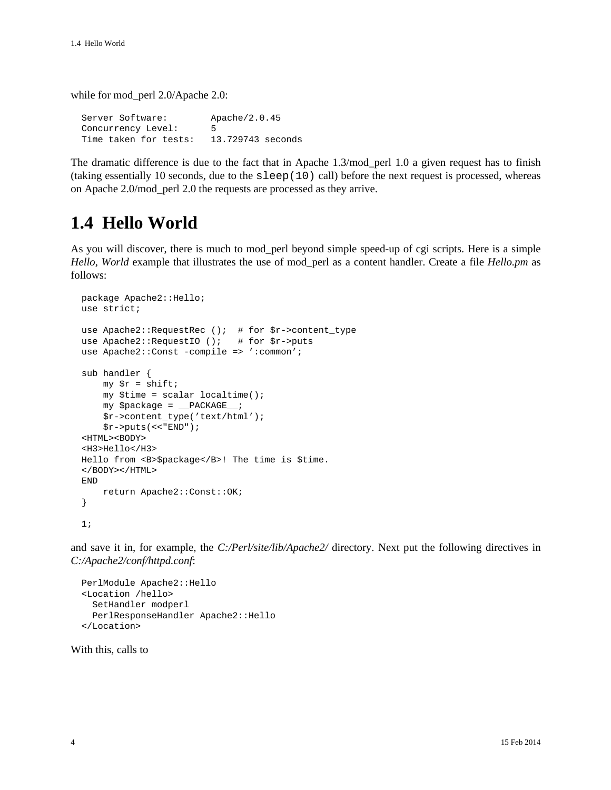while for mod\_perl 2.0/Apache 2.0:

Server Software: Apache/2.0.45 Concurrency Level: 5 Time taken for tests: 13.729743 seconds

The dramatic difference is due to the fact that in Apache 1.3/mod\_perl 1.0 a given request has to finish (taking essentially 10 seconds, due to the sleep(10) call) before the next request is processed, whereas on Apache 2.0/mod\_perl 2.0 the requests are processed as they arrive.

### <span id="page-3-0"></span>**1.4 Hello World**

As you will discover, there is much to mod\_perl beyond simple speed-up of cgi scripts. Here is a simple *Hello, World* example that illustrates the use of mod\_perl as a content handler. Create a file *Hello.pm* as follows:

```
 package Apache2::Hello;
 use strict;
use Apache2::RequestRec (); # for $r->content_type
use Apache2::RequestIO (); # for $r->puts
use Apache2::Const -compile => ':common';
 sub handler {
    my \zeta r = shift;
     my $time = scalar localtime();
     my $package = __PACKAGE__;
     $r->content_type('text/html');
    $r->puts ( << "END" );
 <HTML><BODY>
 <H3>Hello</H3>
 Hello from <B>$package</B>! The time is $time.
 </BODY></HTML>
 END
     return Apache2::Const::OK;
 }
 1;
```
and save it in, for example, the *C:/Perl/site/lib/Apache2/* directory. Next put the following directives in *C:/Apache2/conf/httpd.conf*:

```
 PerlModule Apache2::Hello
 <Location /hello>
   SetHandler modperl
   PerlResponseHandler Apache2::Hello
 </Location>
```
With this, calls to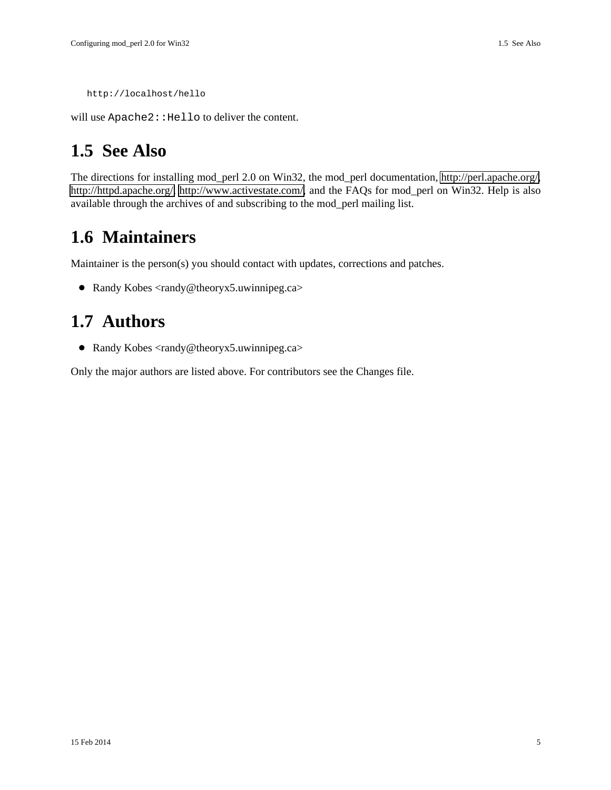```
 http://localhost/hello
```
will use Apache2: : Hello to deliver the content.

### <span id="page-4-0"></span>**1.5 See Also**

The directions for installing mod\_perl 2.0 on Win32, the mod\_perl documentation, [http://perl.apache.org/,](http://perl.apache.org/) [http://httpd.apache.org/,](http://httpd.apache.org/) [http://www.activestate.com/,](http://www.activestate.com/) and the FAQs for mod\_perl on Win32. Help is also available through the archives of and subscribing to the mod\_perl mailing list.

#### <span id="page-4-1"></span>**1.6 Maintainers**

Maintainer is the person(s) you should contact with updates, corrections and patches.

• Randy Kobes <randy@theoryx5.uwinnipeg.ca>

#### <span id="page-4-2"></span>**1.7 Authors**

● Randy Kobes <randy@theoryx5.uwinnipeg.ca>

Only the major authors are listed above. For contributors see the Changes file.